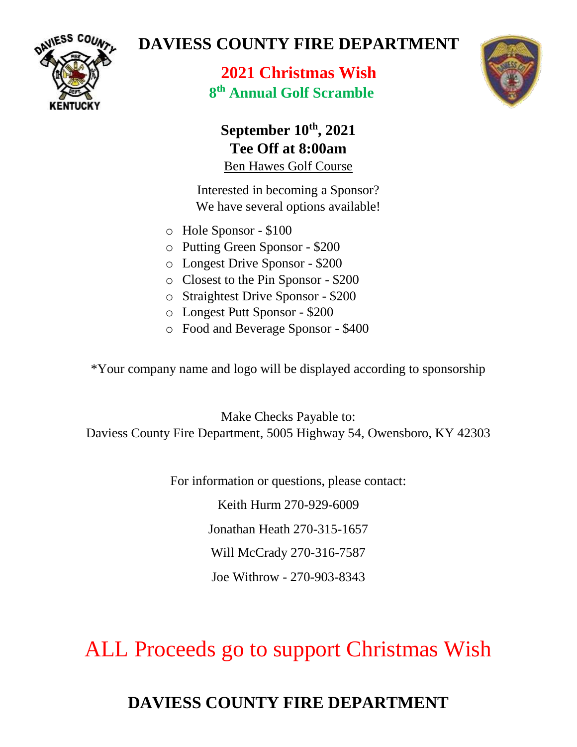

## **DAVIESS COUNTY FIRE DEPARTMENT**

**2021 Christmas Wish 8 th Annual Golf Scramble**



### **September 10th , 2021 Tee Off at 8:00am** Ben Hawes Golf Course

Interested in becoming a Sponsor? We have several options available!

- o Hole Sponsor \$100
- o Putting Green Sponsor \$200
- o Longest Drive Sponsor \$200
- o Closest to the Pin Sponsor \$200
- o Straightest Drive Sponsor \$200
- o Longest Putt Sponsor \$200
- o Food and Beverage Sponsor \$400

\*Your company name and logo will be displayed according to sponsorship

Make Checks Payable to: Daviess County Fire Department, 5005 Highway 54, Owensboro, KY 42303

For information or questions, please contact:

Keith Hurm 270-929-6009 Jonathan Heath 270-315-1657 Will McCrady 270-316-7587

Joe Withrow - 270-903-8343

ALL Proceeds go to support Christmas Wish

# **DAVIESS COUNTY FIRE DEPARTMENT**